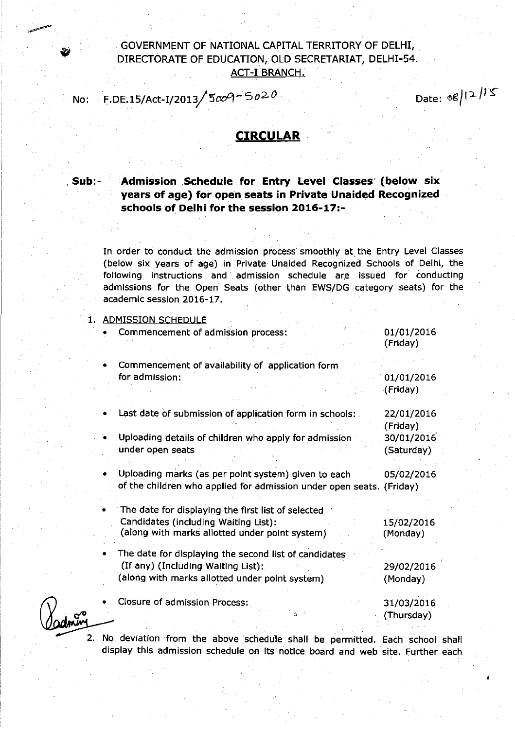## GOVERNMENT OF NATIONAL CAPITAL TERRITORY OF DELHI, , DIRECTORATE OF EDUCATION, OLD SECRETARIAT, DELHI-54. ACT-I BRANCH.

No: F.DE.15/Act-I/2013/5009-5020

**Date: 08/12/15** 

## **CIRCULAR**

**, Sub:-**

**Admission ,Schedule for Entry Level Classes' (below six years of age) for** open **seats in Private Unaided Recognized schoolsof Delhi for the session2016-17:-**

In order to conduct the admission process smoothly at the Entry Level Classes (below six years of age) in Private Unaided Recognized Schools of Delhi, the following instructions and, admission schedule are issued for conducting admissions for the Open Seats (other than EWS/DG category seats) for the academic session 2016-17.

1. ADMISSION SCHEDULE

| Commencement of admission process:                                                                                                            | 01/01/2016<br>(Friday)   |
|-----------------------------------------------------------------------------------------------------------------------------------------------|--------------------------|
| Commencement of availability of application form<br>for admission:                                                                            | 01/01/2016<br>(Friday)   |
| Last date of submission of application form in schools:                                                                                       | 22/01/2016<br>(Friday)   |
| Uploading details of children who apply for admission<br>under open seats                                                                     | 30/01/2016<br>(Saturday) |
| Uploading marks (as per point system) given to each<br>of the children who applied for admission under open seats. (Friday)                   | 05/02/2016               |
| The date for displaying the first list of selected<br>Candidates (including Waiting List):<br>(along with marks allotted under point system)  | 15/02/2016<br>(Monday)   |
| The date for displaying the second list of candidates<br>(If any) (Including Waiting List):<br>(along with marks allotted under point system) | 29/02/2016<br>(Monday)   |
| Closure of admission Process:                                                                                                                 | 31/03/2016<br>(Thursday) |

No deviation 'from the above schedule shall be permitted. Each school shall display this admission schedule on its notice board and web site. Further each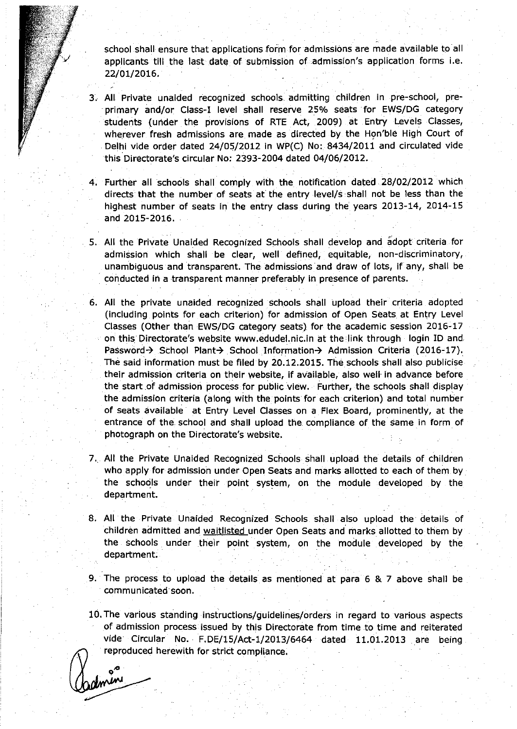school shall ensure that applications form for admissions are made available to all applicants till the last date of submission of admission's application forms i.e. 22/01/2016.

- 3. All Private unaided recognized schools..admitting children in pre-school, preprimary and/or Class-I level shall reserve 25% seats for EWS/DG category students (under the provisions of RTE Act, 2009) at Entry Levels Classes, wherever fresh admissions are made as directed by the Hon'ble High Court of Delhi vide order dated 24/05/2012 in WP(C) No: 8434/2011 and circulated vide this Directorate's circular No: 2393-2004 dated 04/06/2012.
- 4. Further all schools shall comply with the notification dated 28/02/2012 which directs that the number of seats at the entrylevel/s shall not be less than the highest number of seats in the entry class during the years 2013-14, 2014-15 and 2015-2016.
- 5. All the Private Unaided Recognized Schools shall develop and adopt criteria for admission which shall be clear, well defined, equitable, non-discriminatory, unambiguous and transparent. The admissions and draw of lots, if any, shall be . conducted in a transparent manner preferably in presence of parents.
- 6. All the private unaided recognized schools shall upload their criteria adopted (including points for each criterion) for admission of Open Seats at Entry Level Classes (Other than EWS/DG category seats) for the academic session 2016-17 on this Directorate's website [www.edudel.nic.in](http://www.edudel.nic.in) at the link through login 10 and Password-> School Plant-> School Information-> Admission Criteria (2016-17). The said information must be filed by 20.12.2015. The schools shall also publicise their admission criteria on their website, if available, also well' in advance before the start of admission process for public view. Further, the schools shall display the admission criteria (along with the points for each criterion) and total number of seats available at Entry Level Classes on a Flex Board, prominently, at the entrance of the school and shall upload the compliance of the same in form of photograph on the Directorate's website.
- 7., All the Private Unaided Recognized Schools shall upload the details of children who apply for admission under Open Seats and marks allotted to each of them by the schools under their point system, on the module developed by the department.
- 8. All the Private Unaided Recognized Schools shall also upload the details of children admitted and waitlisted under Open Seats and marks allotted to them by the schools, under their point system, on the module developed by the department.

9. The process to upload the details as mentioned at para 6 & 7 above shall be . communicated soon.

10.The various standing instructions/guidelines/orders in regard to various aspects of admission process issued by this Directorate from time to time and reiterated vide Circular No. F.DE/15/Act-1/2013/6464 dated 11.01.2013 are being reproduced herewith for strict compliance.

done  $\sim$ ,  $\sim$ ,  $\sim$ ,  $\sim$ ,  $\sim$ ,  $\sim$ ,  $\sim$ ,  $\sim$ ,  $\sim$ ,  $\sim$ ,  $\sim$ ,  $\sim$ ,  $\sim$ ,  $\sim$ ,  $\sim$ ,  $\sim$ ,  $\sim$ ,  $\sim$ ,  $\sim$ ,  $\sim$ ,  $\sim$ ,  $\sim$ ,  $\sim$ ,  $\sim$ ,  $\sim$ ,  $\sim$ ,  $\sim$ ,  $\sim$ ,  $\sim$ ,  $\sim$ ,  $\sim$ ,  $\sim$ ,  $\sim$ ,  $\sim$ ,  $\sim$ ,  $\sim$ ,  $\sim$ ,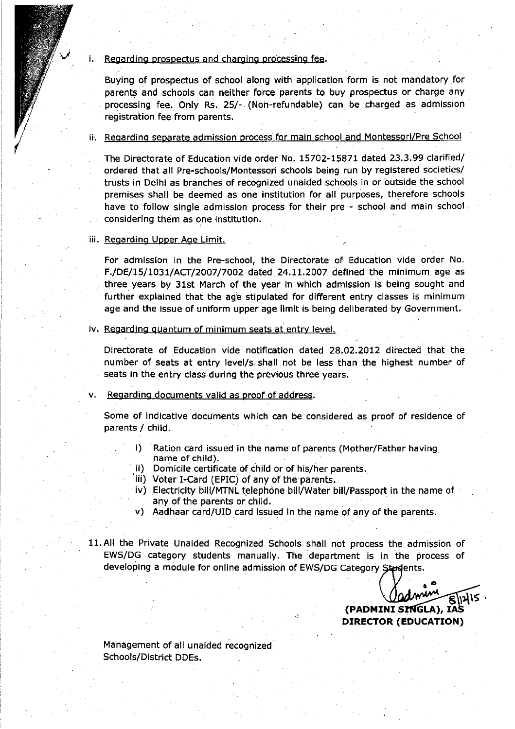#### Regarding prospectus and charging processing fee.

Buying of prospectus of ·school along with application form is not mandatory for parents and schools can neither force parents to buy prospectus or charge any processing fee. Only Rs. 25/- (Non-refundable) can be charged as admission registration fee from parents.

### ii. Regarding separate admission process for main school and Montessori/Pre School

The Directorate of Education vide order No. 15702-15871 dated 23.3.99 clarified/ ordered that all Pre-schools/Montessori schools being run by registered societies/ trusts in Delhi as branches of recognized unaided schools in or outside the school premises shall be deemed as one institution for all purposes, therefore schools have to follow single admission process for their pre - school and main school considering them as one institution.

#### iii. Regarding Upper Age Limit.

For admission in the Pre-school, the Directorate of Education vide order No. F./DE/15/1031/ACT'/2007/7002 dated 24.11.2007 defined the minimum age as three years by 31st March of the year in which admission is being sought and further explained that the age stipulated for different entry classes is minimum age and the issue of uniform upper age limit is being deliberated by Government.

#### iv. Regarding quantum of minimum seats at entry level.

Directorate of Education vide notification dated 28.02.2012 directed that the number of seats at entry level/s shall not be less than the highest number of seats in the entry class during the previous three years.

#### v. Regarding documents valid as proof of address.

Some of indicative documents which can be considered as proof of residence of parents / child.

- i) Ration card issued in the name of parents (Mother/Father having name of child).
- ii) Domicile certificate of,child or of his/her parents.
- iii) Voter I-Card (EPIC) of anyofthe parents.
- iv) Electricity bill/MTNL telephone bill/Water bill/Passport in the name of any of the parents or child.
- v) Aadhaar card/UID card issued in the name of any of the parents.
- 11.All the Private Unaided Recognized Schools shall not process the admission of EWS/DG category students manually. The' department is in the process of developing a module for online admission of EWS/DG Category Students.

*<u>COMMENTE BILLES COMMENTE BILLES COMMENTE BILLES COMMENTE BILLES COMMENTE BILLES COMMENTE BILLES COMMENTE BILLES COMMENTE BILLES COMMENTE BILLES COMMENTE BILLES COMMENTE BILLES COMMENTE BILLES COMMENTE BILLES COMMENTE BI*</u> **(PADMINI 5 GLA), IA DIRECTOR (EDUCATION)**

Management of all unaided recognized Schools/District DDEs.